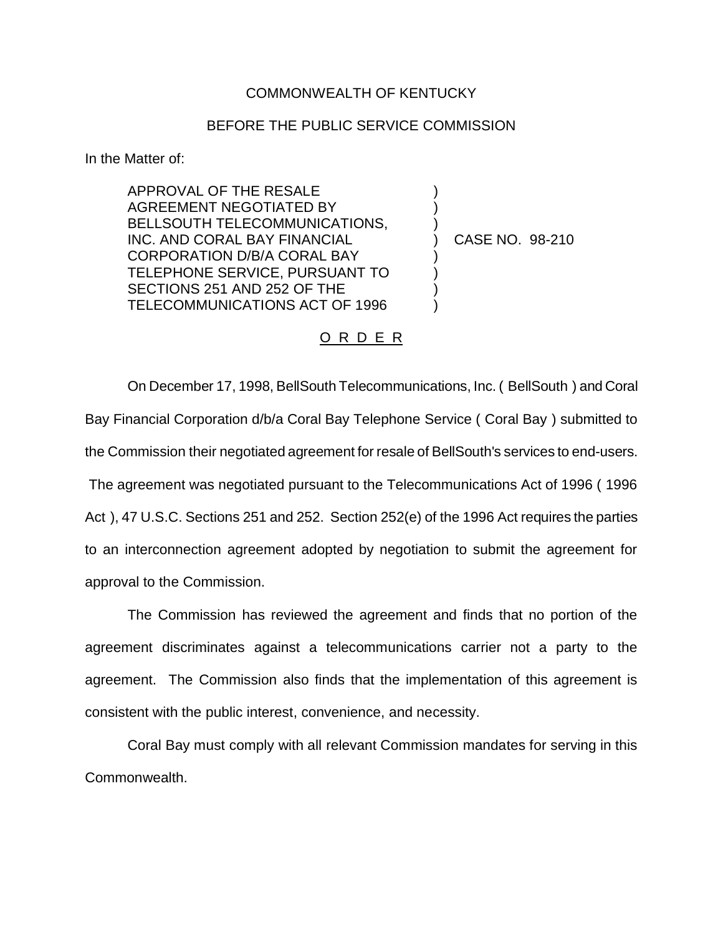## COMMONWEALTH OF KENTUCKY

## BEFORE THE PUBLIC SERVICE COMMISSION

) ) )

) ) )  $\lambda$ 

In the Matter of:

APPROVAL OF THE RESALE AGREEMENT NEGOTIATED BY BELLSOUTH TELECOMMUNICATIONS, INC. AND CORAL BAY FINANCIAL CORPORATION D/B/A CORAL BAY TELEPHONE SERVICE, PURSUANT TO SECTIONS 251 AND 252 OF THE TELECOMMUNICATIONS ACT OF 1996

) CASE NO. 98-210

## O R D E R

On December 17, 1998, BellSouth Telecommunications, Inc. ( BellSouth ) and Coral Bay Financial Corporation d/b/a Coral Bay Telephone Service ( Coral Bay ) submitted to the Commission their negotiated agreement for resale of BellSouth's services to end-users. The agreement was negotiated pursuant to the Telecommunications Act of 1996 ( 1996 Act ), 47 U.S.C. Sections 251 and 252. Section 252(e) of the 1996 Act requires the parties to an interconnection agreement adopted by negotiation to submit the agreement for approval to the Commission.

The Commission has reviewed the agreement and finds that no portion of the agreement discriminates against a telecommunications carrier not a party to the agreement. The Commission also finds that the implementation of this agreement is consistent with the public interest, convenience, and necessity.

Coral Bay must comply with all relevant Commission mandates for serving in this Commonwealth.